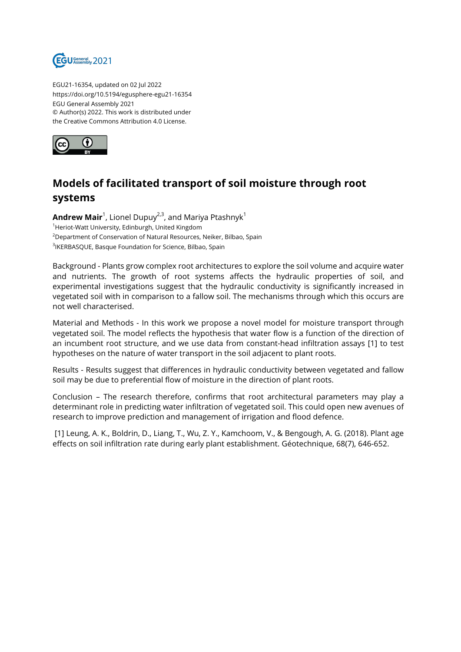

EGU21-16354, updated on 02 Jul 2022 https://doi.org/10.5194/egusphere-egu21-16354 EGU General Assembly 2021 © Author(s) 2022. This work is distributed under the Creative Commons Attribution 4.0 License.



## **Models of facilitated transport of soil moisture through root systems**

**Andrew Mair**<sup>1</sup>, Lionel Dupuy<sup>2,3</sup>, and Mariya Ptashnyk<sup>1</sup> <sup>1</sup>Heriot-Watt University, Edinburgh, United Kingdom <sup>2</sup>Department of Conservation of Natural Resources, Neiker, Bilbao, Spain <sup>3</sup>IKERBASQUE, Basque Foundation for Science, Bilbao, Spain

Background - Plants grow complex root architectures to explore the soil volume and acquire water and nutrients. The growth of root systems affects the hydraulic properties of soil, and experimental investigations suggest that the hydraulic conductivity is significantly increased in vegetated soil with in comparison to a fallow soil. The mechanisms through which this occurs are not well characterised.

Material and Methods - In this work we propose a novel model for moisture transport through vegetated soil. The model reflects the hypothesis that water flow is a function of the direction of an incumbent root structure, and we use data from constant-head infiltration assays [1] to test hypotheses on the nature of water transport in the soil adjacent to plant roots.

Results - Results suggest that differences in hydraulic conductivity between vegetated and fallow soil may be due to preferential flow of moisture in the direction of plant roots.

Conclusion – The research therefore, confirms that root architectural parameters may play a determinant role in predicting water infiltration of vegetated soil. This could open new avenues of research to improve prediction and management of irrigation and flood defence.

[1] Leung, A. K., Boldrin, D., Liang, T., Wu, Z. Y., Kamchoom, V., & Bengough, A. G. (2018). Plant age effects on soil infiltration rate during early plant establishment. Géotechnique, 68(7), 646-652.